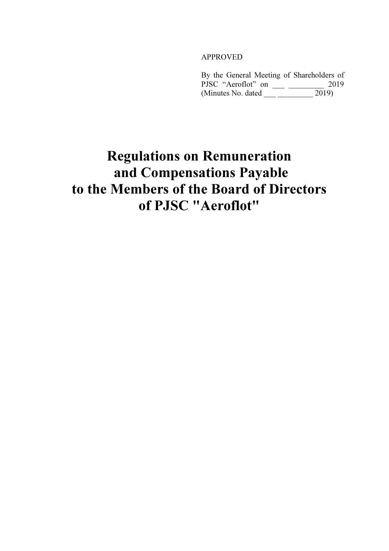#### APPROVED

By the General Meeting of Shareholders of PJSC "Aeroflot" on \_\_\_ \_\_\_\_\_\_\_\_\_ 2019 (Minutes No. dated 2019)

# Regulations on Remuneration and Compensations Payable to the Members of the Board of Directors of PJSC "Aeroflot"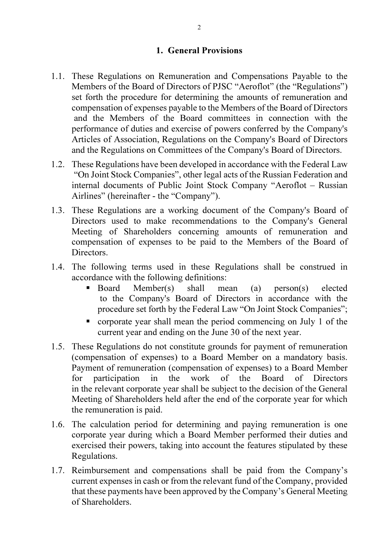#### 1. General Provisions

- 1.1. These Regulations on Remuneration and Compensations Payable to the Members of the Board of Directors of PJSC "Aeroflot" (the "Regulations") set forth the procedure for determining the amounts of remuneration and compensation of expenses payable to the Members of the Board of Directors and the Members of the Board committees in connection with the performance of duties and exercise of powers conferred by the Company's Articles of Association, Regulations on the Company's Board of Directors and the Regulations on Committees of the Company's Board of Directors.
- 1.2. These Regulations have been developed in accordance with the Federal Law "On Joint Stock Companies", other legal acts of the Russian Federation and internal documents of Public Joint Stock Company "Aeroflot – Russian Airlines" (hereinafter - the "Company").
- 1.3. These Regulations are a working document of the Company's Board of Directors used to make recommendations to the Company's General Meeting of Shareholders concerning amounts of remuneration and compensation of expenses to be paid to the Members of the Board of Directors.
- 1.4. The following terms used in these Regulations shall be construed in accordance with the following definitions:
	- Board Member(s) shall mean (a) person(s) elected to the Company's Board of Directors in accordance with the procedure set forth by the Federal Law "On Joint Stock Companies";
	- corporate year shall mean the period commencing on July 1 of the current year and ending on the June 30 of the next year.
- 1.5. These Regulations do not constitute grounds for payment of remuneration (compensation of expenses) to a Board Member on a mandatory basis. Payment of remuneration (compensation of expenses) to a Board Member for participation in the work of the Board of Directors in the relevant corporate year shall be subject to the decision of the General Meeting of Shareholders held after the end of the corporate year for which the remuneration is paid.
- 1.6. The calculation period for determining and paying remuneration is one corporate year during which a Board Member performed their duties and exercised their powers, taking into account the features stipulated by these Regulations.
- 1.7. Reimbursement and compensations shall be paid from the Company's current expenses in cash or from the relevant fund of the Company, provided that these payments have been approved by the Company's General Meeting of Shareholders.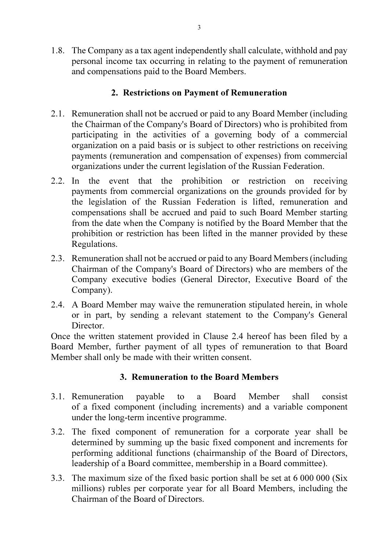1.8. The Company as a tax agent independently shall calculate, withhold and pay personal income tax occurring in relating to the payment of remuneration and compensations paid to the Board Members.

# 2. Restrictions on Payment of Remuneration

- 2.1. Remuneration shall not be accrued or paid to any Board Member (including the Chairman of the Company's Board of Directors) who is prohibited from participating in the activities of a governing body of a commercial organization on a paid basis or is subject to other restrictions on receiving payments (remuneration and compensation of expenses) from commercial organizations under the current legislation of the Russian Federation.
- 2.2. In the event that the prohibition or restriction on receiving payments from commercial organizations on the grounds provided for by the legislation of the Russian Federation is lifted, remuneration and compensations shall be accrued and paid to such Board Member starting from the date when the Company is notified by the Board Member that the prohibition or restriction has been lifted in the manner provided by these Regulations.
- 2.3. Remuneration shall not be accrued or paid to any Board Members (including Chairman of the Company's Board of Directors) who are members of the Company executive bodies (General Director, Executive Board of the Company).
- 2.4. A Board Member may waive the remuneration stipulated herein, in whole or in part, by sending a relevant statement to the Company's General Director.

Once the written statement provided in Clause 2.4 hereof has been filed by a Board Member, further payment of all types of remuneration to that Board Member shall only be made with their written consent.

### 3. Remuneration to the Board Members

- 3.1. Remuneration payable to a Board Member shall consist of a fixed component (including increments) and a variable component under the long-term incentive programme.
- 3.2. The fixed component of remuneration for a corporate year shall be determined by summing up the basic fixed component and increments for performing additional functions (chairmanship of the Board of Directors, leadership of a Board committee, membership in a Board committee).
- 3.3. The maximum size of the fixed basic portion shall be set at 6 000 000 (Six millions) rubles per corporate year for all Board Members, including the Chairman of the Board of Directors.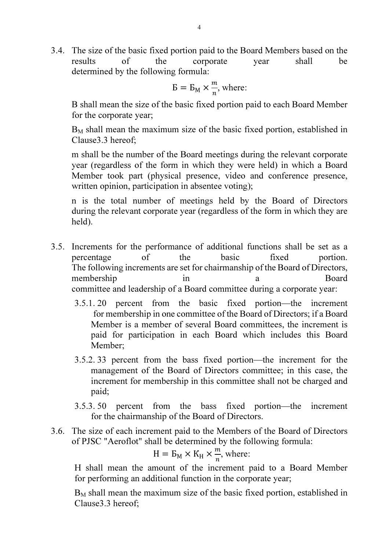3.4. The size of the basic fixed portion paid to the Board Members based on the results of the corporate year shall be determined by the following formula:

$$
B = B_M \times \frac{m}{n}
$$
, where:

B shall mean the size of the basic fixed portion paid to each Board Member for the corporate year;

 $B<sub>M</sub>$  shall mean the maximum size of the basic fixed portion, established in Clause3.3 hereof;

m shall be the number of the Board meetings during the relevant corporate year (regardless of the form in which they were held) in which a Board Member took part (physical presence, video and conference presence, written opinion, participation in absentee voting);

n is the total number of meetings held by the Board of Directors during the relevant corporate year (regardless of the form in which they are held).

- 3.5. Increments for the performance of additional functions shall be set as a percentage of the basic fixed portion. The following increments are set for chairmanship of the Board of Directors, membership in a Board committee and leadership of a Board committee during a corporate year:
	- 3.5.1. 20 percent from the basic fixed portion—the increment for membership in one committee of the Board of Directors; if a Board Member is a member of several Board committees, the increment is paid for participation in each Board which includes this Board Member;
	- 3.5.2. 33 percent from the bass fixed portion—the increment for the management of the Board of Directors committee; in this case, the increment for membership in this committee shall not be charged and paid;
	- 3.5.3. 50 percent from the bass fixed portion—the increment for the chairmanship of the Board of Directors.
- 3.6. The size of each increment paid to the Members of the Board of Directors of PJSC "Aeroflot" shall be determined by the following formula:

$$
H = B_M \times K_H \times \frac{m}{n}
$$
, where:

H shall mean the amount of the increment paid to a Board Member for performing an additional function in the corporate year;

 $B<sub>M</sub>$  shall mean the maximum size of the basic fixed portion, established in Clause3.3 hereof;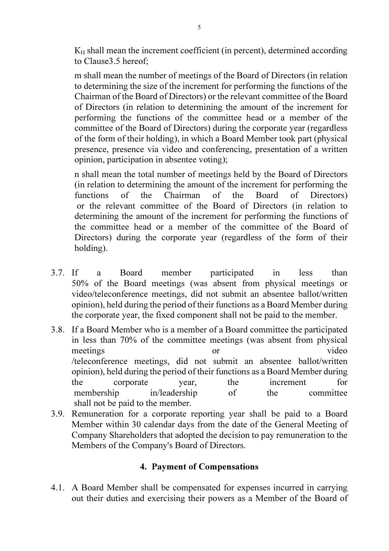$K_H$  shall mean the increment coefficient (in percent), determined according to Clause3.5 hereof;

m shall mean the number of meetings of the Board of Directors (in relation to determining the size of the increment for performing the functions of the Chairman of the Board of Directors) or the relevant committee of the Board of Directors (in relation to determining the amount of the increment for performing the functions of the committee head or a member of the committee of the Board of Directors) during the corporate year (regardless of the form of their holding), in which a Board Member took part (physical presence, presence via video and conferencing, presentation of a written opinion, participation in absentee voting);

n shall mean the total number of meetings held by the Board of Directors (in relation to determining the amount of the increment for performing the functions of the Chairman of the Board of Directors) or the relevant committee of the Board of Directors (in relation to determining the amount of the increment for performing the functions of the committee head or a member of the committee of the Board of Directors) during the corporate year (regardless of the form of their holding).

- 3.7. If a Board member participated in less than 50% of the Board meetings (was absent from physical meetings or video/teleconference meetings, did not submit an absentee ballot/written opinion), held during the period of their functions as a Board Member during the corporate year, the fixed component shall not be paid to the member.
- 3.8. If a Board Member who is a member of a Board committee the participated in less than 70% of the committee meetings (was absent from physical meetings or video /teleconference meetings, did not submit an absentee ballot/written opinion), held during the period of their functions as a Board Member during the corporate year, the increment for membership in/leadership of the committee shall not be paid to the member.
- 3.9. Remuneration for a corporate reporting year shall be paid to a Board Member within 30 calendar days from the date of the General Meeting of Company Shareholders that adopted the decision to pay remuneration to the Members of the Company's Board of Directors.

### 4. Payment of Compensations

4.1. A Board Member shall be compensated for expenses incurred in carrying out their duties and exercising their powers as a Member of the Board of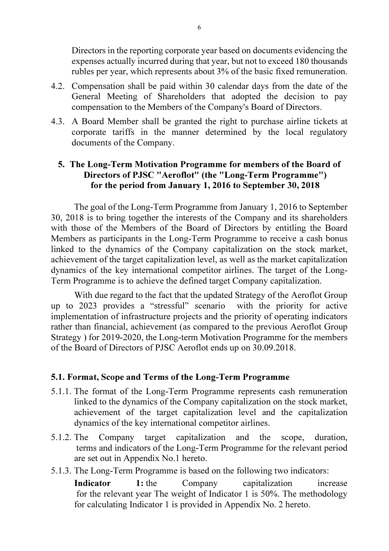Directors in the reporting corporate year based on documents evidencing the expenses actually incurred during that year, but not to exceed 180 thousands rubles per year, which represents about 3% of the basic fixed remuneration.

- 4.2. Compensation shall be paid within 30 calendar days from the date of the General Meeting of Shareholders that adopted the decision to pay compensation to the Members of the Company's Board of Directors.
- 4.3. A Board Member shall be granted the right to purchase airline tickets at corporate tariffs in the manner determined by the local regulatory documents of the Company.

### 5. The Long-Term Motivation Programme for members of the Board of Directors of PJSC "Aeroflot" (the "Long-Term Programme") for the period from January 1, 2016 to September 30, 2018

The goal of the Long-Term Programme from January 1, 2016 to September 30, 2018 is to bring together the interests of the Company and its shareholders with those of the Members of the Board of Directors by entitling the Board Members as participants in the Long-Term Programme to receive a cash bonus linked to the dynamics of the Company capitalization on the stock market, achievement of the target capitalization level, as well as the market capitalization dynamics of the key international competitor airlines. The target of the Long-Term Programme is to achieve the defined target Company capitalization.

With due regard to the fact that the updated Strategy of the Aeroflot Group up to 2023 provides a "stressful" scenario with the priority for active implementation of infrastructure projects and the priority of operating indicators rather than financial, achievement (as compared to the previous Aeroflot Group Strategy ) for 2019-2020, the Long-term Motivation Programme for the members of the Board of Directors of PJSC Aeroflot ends up on 30.09.2018.

### 5.1. Format, Scope and Terms of the Long-Term Programme

- 5.1.1. The format of the Long-Term Programme represents cash remuneration linked to the dynamics of the Company capitalization on the stock market, achievement of the target capitalization level and the capitalization dynamics of the key international competitor airlines.
- 5.1.2. The Company target capitalization and the scope, duration, terms and indicators of the Long-Term Programme for the relevant period are set out in Appendix No.1 hereto.
- 5.1.3. The Long-Term Programme is based on the following two indicators:

Indicator 1: the Company capitalization increase for the relevant year The weight of Indicator 1 is 50%. The methodology for calculating Indicator 1 is provided in Appendix No. 2 hereto.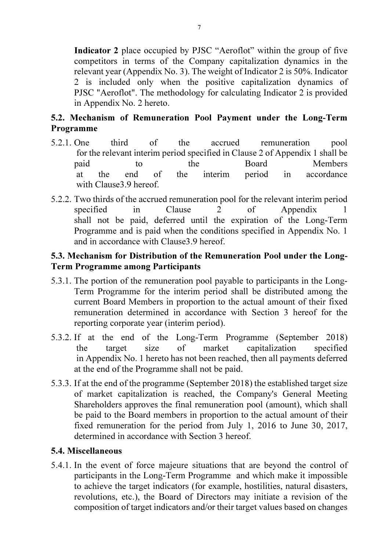Indicator 2 place occupied by PJSC "Aeroflot" within the group of five competitors in terms of the Company capitalization dynamics in the relevant year (Appendix No. 3). The weight of Indicator 2 is 50%. Indicator 2 is included only when the positive capitalization dynamics of PJSC "Aeroflot". The methodology for calculating Indicator 2 is provided in Appendix No. 2 hereto.

# 5.2. Mechanism of Remuneration Pool Payment under the Long-Term Programme

- 5.2.1. One third of the accrued remuneration pool for the relevant interim period specified in Clause 2 of Appendix 1 shall be paid to the Board Members at the end of the interim period in accordance with Clause3.9 hereof.
- 5.2.2. Two thirds of the accrued remuneration pool for the relevant interim period specified in Clause 2 of Appendix 1 shall not be paid, deferred until the expiration of the Long-Term Programme and is paid when the conditions specified in Appendix No. 1 and in accordance with Clause3.9 hereof.

# 5.3. Mechanism for Distribution of the Remuneration Pool under the Long-Term Programme among Participants

- 5.3.1. The portion of the remuneration pool payable to participants in the Long-Term Programme for the interim period shall be distributed among the current Board Members in proportion to the actual amount of their fixed remuneration determined in accordance with Section 3 hereof for the reporting corporate year (interim period).
- 5.3.2. If at the end of the Long-Term Programme (September 2018) the target size of market capitalization specified in Appendix No. 1 hereto has not been reached, then all payments deferred at the end of the Programme shall not be paid.
- 5.3.3. If at the end of the programme (September 2018) the established target size of market capitalization is reached, the Company's General Meeting Shareholders approves the final remuneration pool (amount), which shall be paid to the Board members in proportion to the actual amount of their fixed remuneration for the period from July 1, 2016 to June 30, 2017, determined in accordance with Section 3 hereof.

### 5.4. Miscellaneous

5.4.1. In the event of force majeure situations that are beyond the control of participants in the Long-Term Programme and which make it impossible to achieve the target indicators (for example, hostilities, natural disasters, revolutions, etc.), the Board of Directors may initiate a revision of the composition of target indicators and/or their target values based on changes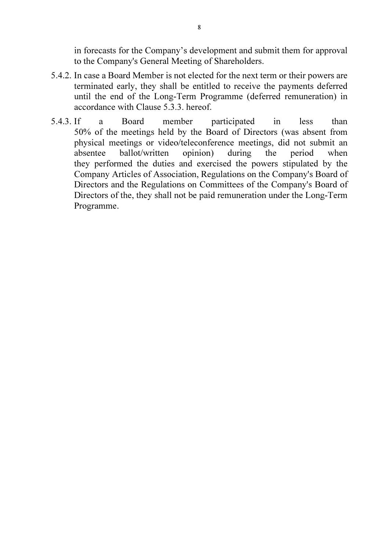in forecasts for the Company's development and submit them for approval to the Company's General Meeting of Shareholders.

- 5.4.2. In case a Board Member is not elected for the next term or their powers are terminated early, they shall be entitled to receive the payments deferred until the end of the Long-Term Programme (deferred remuneration) in accordance with Clause 5.3.3. hereof.
- 5.4.3. If a Board member participated in less than 50% of the meetings held by the Board of Directors (was absent from physical meetings or video/teleconference meetings, did not submit an absentee ballot/written opinion) during the period when they performed the duties and exercised the powers stipulated by the Company Articles of Association, Regulations on the Company's Board of Directors and the Regulations on Committees of the Company's Board of Directors of the, they shall not be paid remuneration under the Long-Term Programme.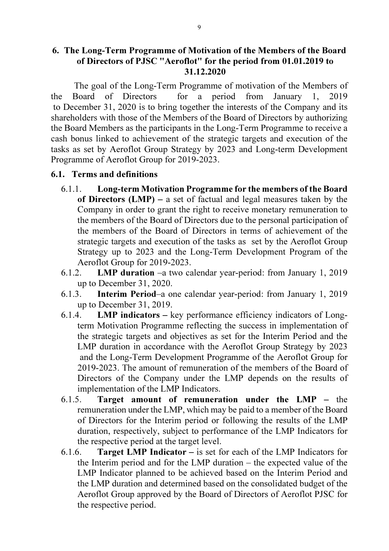The goal of the Long-Term Programme of motivation of the Members of the Board of Directors for a period from January 1, 2019 to December 31, 2020 is to bring together the interests of the Company and its shareholders with those of the Members of the Board of Directors by authorizing the Board Members as the participants in the Long-Term Programme to receive a cash bonus linked to achievement of the strategic targets and execution of the tasks as set by Aeroflot Group Strategy by 2023 and Long-term Development Programme of Aeroflot Group for 2019-2023.

#### 6.1. Terms and definitions

- 6.1.1. Long-term Motivation Programme for the members of the Board of Directors  $(LMP)$  – a set of factual and legal measures taken by the Company in order to grant the right to receive monetary remuneration to the members of the Board of Directors due to the personal participation of the members of the Board of Directors in terms of achievement of the strategic targets and execution of the tasks as set by the Aeroflot Group Strategy up to 2023 and the Long-Term Development Program of the Aeroflot Group for 2019-2023.
- 6.1.2. LMP duration –a two calendar year-period: from January 1, 2019 up to December 31, 2020.
- 6.1.3. Interim Period–a one calendar year-period: from January 1, 2019 up to December 31, 2019.
- 6.1.4. LMP indicators key performance efficiency indicators of Longterm Motivation Programme reflecting the success in implementation of the strategic targets and objectives as set for the Interim Period and the LMP duration in accordance with the Aeroflot Group Strategy by 2023 and the Long-Term Development Programme of the Aeroflot Group for 2019-2023. The amount of remuneration of the members of the Board of Directors of the Company under the LMP depends on the results of implementation of the LMP Indicators.
- 6.1.5. Target amount of remuneration under the LMP the remuneration under the LMP, which may be paid to a member of the Board of Directors for the Interim period or following the results of the LMP duration, respectively, subject to performance of the LMP Indicators for the respective period at the target level.
- 6.1.6. **Target LMP Indicator** is set for each of the LMP Indicators for the Interim period and for the LMP duration – the expected value of the LMP Indicator planned to be achieved based on the Interim Period and the LMP duration and determined based on the consolidated budget of the Aeroflot Group approved by the Board of Directors of Aeroflot PJSC for the respective period.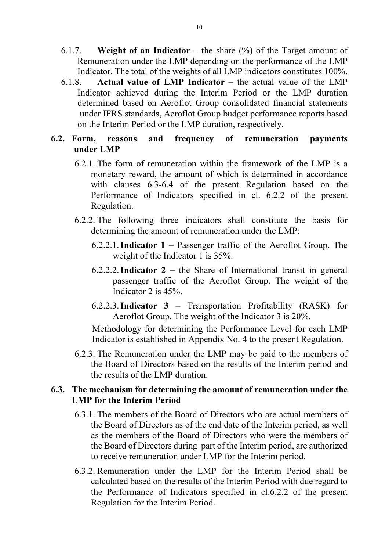- 6.1.7. Weight of an Indicator the share  $(\%)$  of the Target amount of Remuneration under the LMP depending on the performance of the LMP Indicator. The total of the weights of all LMP indicators constitutes 100%.
- 6.1.8. Actual value of LMP Indicator the actual value of the LMP Indicator achieved during the Interim Period or the LMP duration determined based on Aeroflot Group consolidated financial statements under IFRS standards, Aeroflot Group budget performance reports based on the Interim Period or the LMP duration, respectively.

#### 6.2. Form, reasons and frequency of remuneration payments under LMP

- 6.2.1. The form of remuneration within the framework of the LMP is a monetary reward, the amount of which is determined in accordance with clauses 6.3-6.4 of the present Regulation based on the Performance of Indicators specified in cl. 6.2.2 of the present Regulation.
- 6.2.2. The following three indicators shall constitute the basis for determining the amount of remuneration under the LMP:
	- 6.2.2.1. Indicator  $1$  Passenger traffic of the Aeroflot Group. The weight of the Indicator 1 is 35%.
	- 6.2.2.2. Indicator  $2 -$  the Share of International transit in general passenger traffic of the Aeroflot Group. The weight of the Indicator 2 is 45%.
	- 6.2.2.3.Indicator 3 Transportation Profitability (RASK) for Aeroflot Group. The weight of the Indicator 3 is 20%.

Methodology for determining the Performance Level for each LMP Indicator is established in Appendix No. 4 to the present Regulation.

6.2.3. The Remuneration under the LMP may be paid to the members of the Board of Directors based on the results of the Interim period and the results of the LMP duration.

### 6.3. The mechanism for determining the amount of remuneration under the LMP for the Interim Period

- 6.3.1. The members of the Board of Directors who are actual members of the Board of Directors as of the end date of the Interim period, as well as the members of the Board of Directors who were the members of the Board of Directors during part of the Interim period, are authorized to receive remuneration under LMP for the Interim period.
- 6.3.2. Remuneration under the LMP for the Interim Period shall be calculated based on the results of the Interim Period with due regard to the Performance of Indicators specified in cl.6.2.2 of the present Regulation for the Interim Period.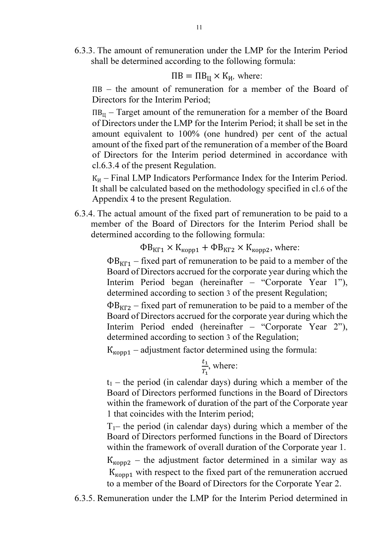6.3.3. The amount of remuneration under the LMP for the Interim Period shall be determined according to the following formula:

$$
\Pi B = \Pi B_{\rm II} \times K_{\rm H}
$$
, where:

ПВ – the amount of remuneration for a member of the Board of Directors for the Interim Period;

 $\Pi B_{II}$  – Target amount of the remuneration for a member of the Board of Directors under the LMP for the Interim Period; it shall be set in the amount equivalent to 100% (one hundred) per cent of the actual amount of the fixed part of the remuneration of a member of the Board of Directors for the Interim period determined in accordance with cl.6.3.4 of the present Regulation.

 $K_H$  – Final LMP Indicators Performance Index for the Interim Period. It shall be calculated based on the methodology specified in cl.6 of the Appendix 4 to the present Regulation.

6.3.4. The actual amount of the fixed part of remuneration to be paid to a member of the Board of Directors for the Interim Period shall be determined according to the following formula:

 $\Phi B_{KT1} \times K_{\kappa opp1} + \Phi B_{KT2} \times K_{\kappa opp2}$ , where:

 $\Phi B_{KT}$  – fixed part of remuneration to be paid to a member of the Board of Directors accrued for the corporate year during which the Interim Period began (hereinafter – "Corporate Year 1"), determined according to section 3 of the present Regulation;

 $\Phi B_{KT2}$  – fixed part of remuneration to be paid to a member of the Board of Directors accrued for the corporate year during which the Interim Period ended (hereinafter – "Corporate Year 2"), determined according to section 3 of the Regulation;

 $K_{\text{topp1}}$  – adjustment factor determined using the formula:

$$
\frac{t_1}{T_1}
$$
, where:

 $t_1$  – the period (in calendar days) during which a member of the Board of Directors performed functions in the Board of Directors within the framework of duration of the part of the Corporate year 1 that coincides with the Interim period;

 $T_1$ – the period (in calendar days) during which a member of the Board of Directors performed functions in the Board of Directors within the framework of overall duration of the Corporate year 1.

 $K_{\text{Kopp2}}$  – the adjustment factor determined in a similar way as  $K_{\text{topp1}}$  with respect to the fixed part of the remuneration accrued to a member of the Board of Directors for the Corporate Year 2.

6.3.5. Remuneration under the LMP for the Interim Period determined in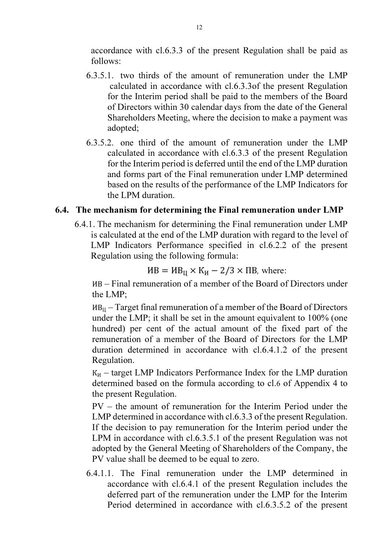accordance with cl.6.3.3 of the present Regulation shall be paid as follows:

- 6.3.5.1. two thirds of the amount of remuneration under the LMP calculated in accordance with cl.6.3.3of the present Regulation for the Interim period shall be paid to the members of the Board of Directors within 30 calendar days from the date of the General Shareholders Meeting, where the decision to make a payment was adopted;
- 6.3.5.2. one third of the amount of remuneration under the LMP calculated in accordance with cl.6.3.3 of the present Regulation for the Interim period is deferred until the end of the LMP duration and forms part of the Final remuneration under LMP determined based on the results of the performance of the LMP Indicators for the LPM duration.

#### 6.4. The mechanism for determining the Final remuneration under LMP

6.4.1. The mechanism for determining the Final remuneration under LMP is calculated at the end of the LMP duration with regard to the level of LMP Indicators Performance specified in cl.6.2.2 of the present Regulation using the following formula:

$$
HB = MB_{\rm II} \times K_{\rm H} - 2/3 \times \Pi B
$$
, where:

ИВ – Final remuneration of a member of the Board of Directors under the LMP;

 $MB_{\text{II}}$  – Target final remuneration of a member of the Board of Directors under the LMP; it shall be set in the amount equivalent to 100% (one hundred) per cent of the actual amount of the fixed part of the remuneration of a member of the Board of Directors for the LMP duration determined in accordance with cl.6.4.1.2 of the present Regulation.

 $K_H$  – target LMP Indicators Performance Index for the LMP duration determined based on the formula according to cl.6 of Appendix 4 to the present Regulation.

PV – the amount of remuneration for the Interim Period under the LMP determined in accordance with cl.6.3.3 of the present Regulation. If the decision to pay remuneration for the Interim period under the LPM in accordance with cl.6.3.5.1 of the present Regulation was not adopted by the General Meeting of Shareholders of the Company, the PV value shall be deemed to be equal to zero.

6.4.1.1. The Final remuneration under the LMP determined in accordance with cl.6.4.1 of the present Regulation includes the deferred part of the remuneration under the LMP for the Interim Period determined in accordance with cl.6.3.5.2 of the present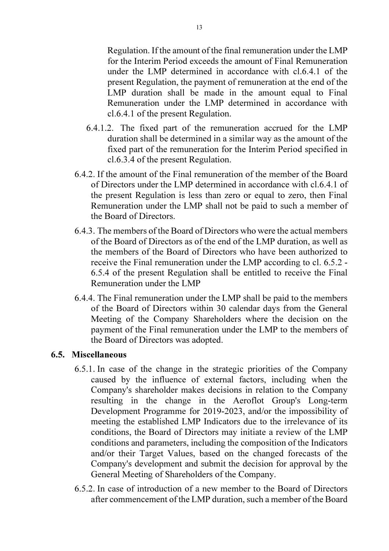Regulation. If the amount of the final remuneration under the LMP for the Interim Period exceeds the amount of Final Remuneration under the LMP determined in accordance with cl.6.4.1 of the present Regulation, the payment of remuneration at the end of the LMP duration shall be made in the amount equal to Final Remuneration under the LMP determined in accordance with cl.6.4.1 of the present Regulation.

- 6.4.1.2. The fixed part of the remuneration accrued for the LMP duration shall be determined in a similar way as the amount of the fixed part of the remuneration for the Interim Period specified in cl.6.3.4 of the present Regulation.
- 6.4.2. If the amount of the Final remuneration of the member of the Board of Directors under the LMP determined in accordance with cl.6.4.1 of the present Regulation is less than zero or equal to zero, then Final Remuneration under the LMP shall not be paid to such a member of the Board of Directors.
- 6.4.3. The members of the Board of Directors who were the actual members of the Board of Directors as of the end of the LMP duration, as well as the members of the Board of Directors who have been authorized to receive the Final remuneration under the LMP according to cl. 6.5.2 - 6.5.4 of the present Regulation shall be entitled to receive the Final Remuneration under the LMP
- 6.4.4. The Final remuneration under the LMP shall be paid to the members of the Board of Directors within 30 calendar days from the General Meeting of the Company Shareholders where the decision on the payment of the Final remuneration under the LMP to the members of the Board of Directors was adopted.

#### 6.5. Miscellaneous

- 6.5.1. In case of the change in the strategic priorities of the Company caused by the influence of external factors, including when the Company's shareholder makes decisions in relation to the Company resulting in the change in the Aeroflot Group's Long-term Development Programme for 2019-2023, and/or the impossibility of meeting the established LMP Indicators due to the irrelevance of its conditions, the Board of Directors may initiate a review of the LMP conditions and parameters, including the composition of the Indicators and/or their Target Values, based on the changed forecasts of the Company's development and submit the decision for approval by the General Meeting of Shareholders of the Company.
- 6.5.2. In case of introduction of a new member to the Board of Directors after commencement of the LMP duration, such a member of the Board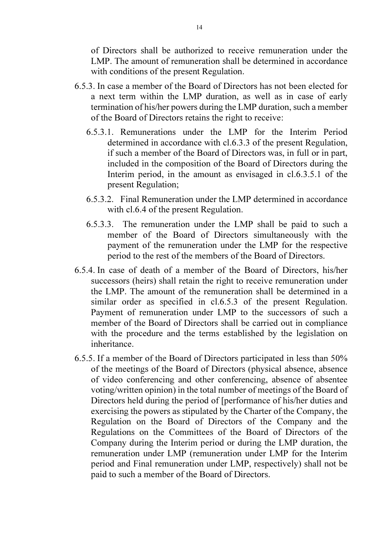of Directors shall be authorized to receive remuneration under the LMP. The amount of remuneration shall be determined in accordance with conditions of the present Regulation.

- 6.5.3. In case a member of the Board of Directors has not been elected for a next term within the LMP duration, as well as in case of early termination of his/her powers during the LMP duration, such a member of the Board of Directors retains the right to receive:
	- 6.5.3.1. Remunerations under the LMP for the Interim Period determined in accordance with cl.6.3.3 of the present Regulation, if such a member of the Board of Directors was, in full or in part, included in the composition of the Board of Directors during the Interim period, in the amount as envisaged in cl.6.3.5.1 of the present Regulation;
	- 6.5.3.2. Final Remuneration under the LMP determined in accordance with cl.6.4 of the present Regulation.
	- 6.5.3.3. The remuneration under the LMP shall be paid to such a member of the Board of Directors simultaneously with the payment of the remuneration under the LMP for the respective period to the rest of the members of the Board of Directors.
- 6.5.4. In case of death of a member of the Board of Directors, his/her successors (heirs) shall retain the right to receive remuneration under the LMP. The amount of the remuneration shall be determined in a similar order as specified in cl.6.5.3 of the present Regulation. Payment of remuneration under LMP to the successors of such a member of the Board of Directors shall be carried out in compliance with the procedure and the terms established by the legislation on inheritance.
- 6.5.5. If a member of the Board of Directors participated in less than 50% of the meetings of the Board of Directors (physical absence, absence of video conferencing and other conferencing, absence of absentee voting/written opinion) in the total number of meetings of the Board of Directors held during the period of [performance of his/her duties and exercising the powers as stipulated by the Charter of the Company, the Regulation on the Board of Directors of the Company and the Regulations on the Committees of the Board of Directors of the Company during the Interim period or during the LMP duration, the remuneration under LMP (remuneration under LMP for the Interim period and Final remuneration under LMP, respectively) shall not be paid to such a member of the Board of Directors.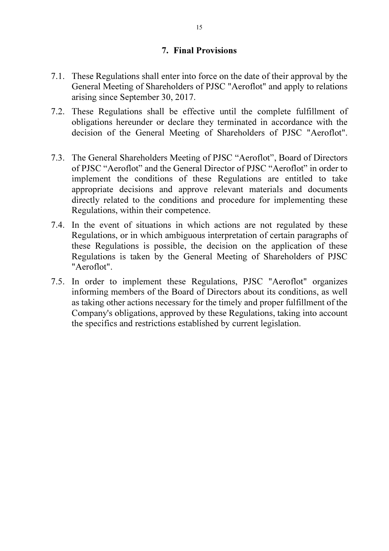#### 7. Final Provisions

- 7.1. These Regulations shall enter into force on the date of their approval by the General Meeting of Shareholders of PJSC "Aeroflot" and apply to relations arising since September 30, 2017.
- 7.2. These Regulations shall be effective until the complete fulfillment of obligations hereunder or declare they terminated in accordance with the decision of the General Meeting of Shareholders of PJSC "Aeroflot".
- 7.3. The General Shareholders Meeting of PJSC "Aeroflot", Board of Directors of PJSC "Aeroflot" and the General Director of PJSC "Aeroflot" in order to implement the conditions of these Regulations are entitled to take appropriate decisions and approve relevant materials and documents directly related to the conditions and procedure for implementing these Regulations, within their competence.
- 7.4. In the event of situations in which actions are not regulated by these Regulations, or in which ambiguous interpretation of certain paragraphs of these Regulations is possible, the decision on the application of these Regulations is taken by the General Meeting of Shareholders of PJSC "Aeroflot".
- 7.5. In order to implement these Regulations, PJSC "Aeroflot" organizes informing members of the Board of Directors about its conditions, as well as taking other actions necessary for the timely and proper fulfillment of the Company's obligations, approved by these Regulations, taking into account the specifics and restrictions established by current legislation.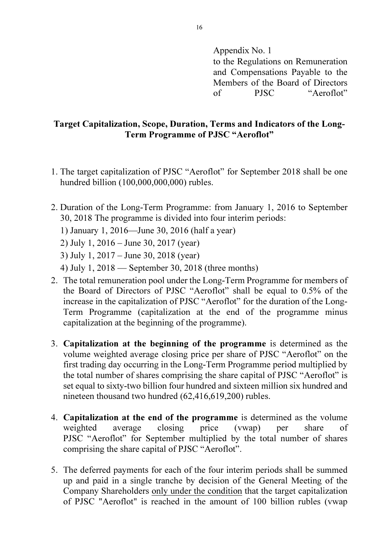Appendix No. 1 to the Regulations on Remuneration and Compensations Payable to the Members of the Board of Directors of PJSC "Aeroflot"

#### Target Capitalization, Scope, Duration, Terms and Indicators of the Long-Term Programme of PJSC "Aeroflot"

- 1. The target capitalization of PJSC "Aeroflot" for September 2018 shall be one hundred billion (100,000,000,000) rubles.
- 2. Duration of the Long-Term Programme: from January 1, 2016 to September 30, 2018 The programme is divided into four interim periods:
	- 1) January 1, 2016—June 30, 2016 (half a year)

2) July 1, 2016 – June 30, 2017 (year)

3) July 1, 2017 – June 30, 2018 (year)

- 4) July 1, 2018 September 30, 2018 (three months)
- 2. The total remuneration pool under the Long-Term Programme for members of the Board of Directors of PJSC "Aeroflot" shall be equal to 0.5% of the increase in the capitalization of PJSC "Aeroflot" for the duration of the Long-Term Programme (capitalization at the end of the programme minus capitalization at the beginning of the programme).
- 3. Capitalization at the beginning of the programme is determined as the volume weighted average closing price per share of PJSC "Aeroflot" on the first trading day occurring in the Long-Term Programme period multiplied by the total number of shares comprising the share capital of PJSC "Aeroflot" is set equal to sixty-two billion four hundred and sixteen million six hundred and nineteen thousand two hundred (62,416,619,200) rubles.
- 4. Capitalization at the end of the programme is determined as the volume weighted average closing price (vwap) per share of PJSC "Aeroflot" for September multiplied by the total number of shares comprising the share capital of PJSC "Aeroflot".
- 5. The deferred payments for each of the four interim periods shall be summed up and paid in a single tranche by decision of the General Meeting of the Company Shareholders only under the condition that the target capitalization of PJSC "Aeroflot" is reached in the amount of 100 billion rubles (vwap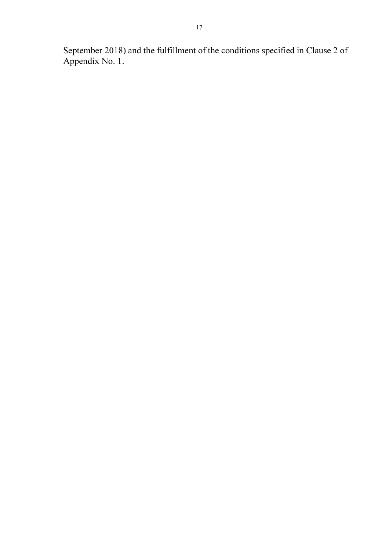September 2018) and the fulfillment of the conditions specified in Clause 2 of Appendix No. 1.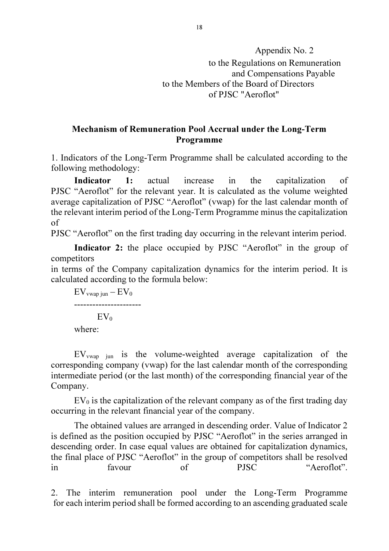Appendix No. 2 to the Regulations on Remuneration and Compensations Payable to the Members of the Board of Directors of PJSC "Aeroflot"

#### Mechanism of Remuneration Pool Accrual under the Long-Term Programme

1. Indicators of the Long-Term Programme shall be calculated according to the following methodology:

Indicator 1: actual increase in the capitalization of PJSC "Aeroflot" for the relevant year. It is calculated as the volume weighted average capitalization of PJSC "Aeroflot" (vwap) for the last calendar month of the relevant interim period of the Long-Term Programme minus the capitalization of

PJSC "Aeroflot" on the first trading day occurring in the relevant interim period.

Indicator 2: the place occupied by PJSC "Aeroflot" in the group of competitors

in terms of the Company capitalization dynamics for the interim period. It is calculated according to the formula below:

 $EV_{vwap\,$ jun  $EV_{0}$ ----------------------  $EV_0$ where:

 $EV_{vwan}$  is the volume-weighted average capitalization of the corresponding company (vwap) for the last calendar month of the corresponding intermediate period (or the last month) of the corresponding financial year of the Company.

 $EV<sub>0</sub>$  is the capitalization of the relevant company as of the first trading day occurring in the relevant financial year of the company.

The obtained values are arranged in descending order. Value of Indicator 2 is defined as the position occupied by PJSC "Aeroflot" in the series arranged in descending order. In case equal values are obtained for capitalization dynamics, the final place of PJSC "Aeroflot" in the group of competitors shall be resolved in favour of PJSC "Aeroflot".

2. The interim remuneration pool under the Long-Term Programme for each interim period shall be formed according to an ascending graduated scale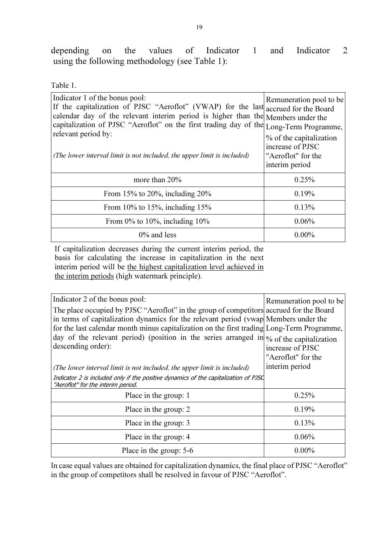depending on the values of Indicator 1 and Indicator 2 using the following methodology (see Table 1):

Table 1.

| Indicator 1 of the bonus pool:<br>If the capitalization of PJSC "Aeroflot" (VWAP) for the last accrued for the Board<br>calendar day of the relevant interim period is higher than the Members under the<br>capitalization of PJSC "Aeroflot" on the first trading day of the Long-Term Programme,<br>relevant period by:<br>(The lower interval limit is not included, the upper limit is included) | Remuneration pool to be<br>% of the capitalization<br>increase of PJSC<br>"Aeroflot" for the<br>interim period |
|------------------------------------------------------------------------------------------------------------------------------------------------------------------------------------------------------------------------------------------------------------------------------------------------------------------------------------------------------------------------------------------------------|----------------------------------------------------------------------------------------------------------------|
| more than $20\%$                                                                                                                                                                                                                                                                                                                                                                                     | 0.25%                                                                                                          |
| From 15% to 20%, including $20\%$                                                                                                                                                                                                                                                                                                                                                                    | 0.19%                                                                                                          |
| From 10% to 15%, including $15\%$                                                                                                                                                                                                                                                                                                                                                                    | 0.13%                                                                                                          |
| From $0\%$ to 10%, including 10%                                                                                                                                                                                                                                                                                                                                                                     | 0.06%                                                                                                          |
| $0\%$ and less                                                                                                                                                                                                                                                                                                                                                                                       | $0.00\%$                                                                                                       |

If capitalization decreases during the current interim period, the basis for calculating the increase in capitalization in the next interim period will be the highest capitalization level achieved in the interim periods (high watermark principle).

| Indicator 2 of the bonus pool:                                                                                                                                                                                                                                                                                                                                                                       |                                                                   |
|------------------------------------------------------------------------------------------------------------------------------------------------------------------------------------------------------------------------------------------------------------------------------------------------------------------------------------------------------------------------------------------------------|-------------------------------------------------------------------|
| The place occupied by PJSC "Aeroflot" in the group of competitors accrued for the Board<br>in terms of capitalization dynamics for the relevant period (ywap Members under the<br>for the last calendar month minus capitalization on the first trading Long-Term Programme,<br>day of the relevant period) (position in the series arranged in $\phi_0$ of the capitalization<br>descending order): | Remuneration pool to be<br>increase of PJSC<br>"Aeroflot" for the |
| (The lower interval limit is not included, the upper limit is included)                                                                                                                                                                                                                                                                                                                              | interim period                                                    |
| Indicator 2 is included only if the positive dynamics of the capitalization of PJSC<br>"Aeroflot" for the interim period.                                                                                                                                                                                                                                                                            |                                                                   |
| Place in the group: 1                                                                                                                                                                                                                                                                                                                                                                                | 0.25%                                                             |
| Place in the group: 2                                                                                                                                                                                                                                                                                                                                                                                | $0.19\%$                                                          |
| Place in the group: 3                                                                                                                                                                                                                                                                                                                                                                                | 0.13%                                                             |
| Place in the group: 4                                                                                                                                                                                                                                                                                                                                                                                | 0.06%                                                             |
| Place in the group: 5-6                                                                                                                                                                                                                                                                                                                                                                              | $0.00\%$                                                          |

In case equal values are obtained for capitalization dynamics, the final place of PJSC "Aeroflot" in the group of competitors shall be resolved in favour of PJSC "Aeroflot".

19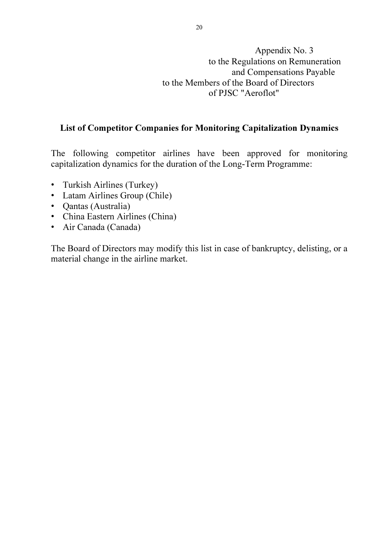Appendix No. 3 to the Regulations on Remuneration and Compensations Payable to the Members of the Board of Directors of PJSC "Aeroflot"

#### List of Competitor Companies for Monitoring Capitalization Dynamics

The following competitor airlines have been approved for monitoring capitalization dynamics for the duration of the Long-Term Programme:

- Turkish Airlines (Turkey)
- Latam Airlines Group (Chile)
- Qantas (Australia)
- China Eastern Airlines (China)
- Air Canada (Canada)

The Board of Directors may modify this list in case of bankruptcy, delisting, or a material change in the airline market.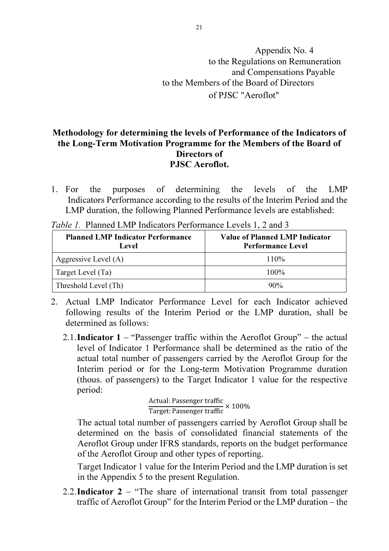# Appendix No. 4 to the Regulations on Remuneration and Compensations Payable to the Members of the Board of Directors of PJSC "Aeroflot"

#### Methodology for determining the levels of Performance of the Indicators of the Long-Term Motivation Programme for the Members of the Board of Directors of PJSC Aeroflot.

1. For the purposes of determining the levels of the LMP Indicators Performance according to the results of the Interim Period and the LMP duration, the following Planned Performance levels are established:

| <b>Planned LMP Indicator Performance</b><br>Level | <b>Value of Planned LMP Indicator</b><br><b>Performance Level</b> |
|---------------------------------------------------|-------------------------------------------------------------------|
| Aggressive Level (A)                              | 110%                                                              |
| Target Level (Ta)                                 | $100\%$                                                           |
| Threshold Level (Th)                              | $90\%$                                                            |

Table 1. Planned LMP Indicators Performance Levels 1, 2 and 3

- 2. Actual LMP Indicator Performance Level for each Indicator achieved following results of the Interim Period or the LMP duration, shall be determined as follows:
	- 2.1.**Indicator 1** "Passenger traffic within the Aeroflot Group" the actual level of Indicator 1 Performance shall be determined as the ratio of the actual total number of passengers carried by the Aeroflot Group for the Interim period or for the Long-term Motivation Programme duration (thous. of passengers) to the Target Indicator 1 value for the respective period:

Actual: Passenger traffic Target: Passenger traffic × 100%

The actual total number of passengers carried by Aeroflot Group shall be determined on the basis of consolidated financial statements of the Aeroflot Group under IFRS standards, reports on the budget performance of the Aeroflot Group and other types of reporting.

Target Indicator 1 value for the Interim Period and the LMP duration is set in the Appendix 5 to the present Regulation.

2.2. Indicator  $2 -$  "The share of international transit from total passenger traffic of Aeroflot Group" for the Interim Period or the LMP duration – the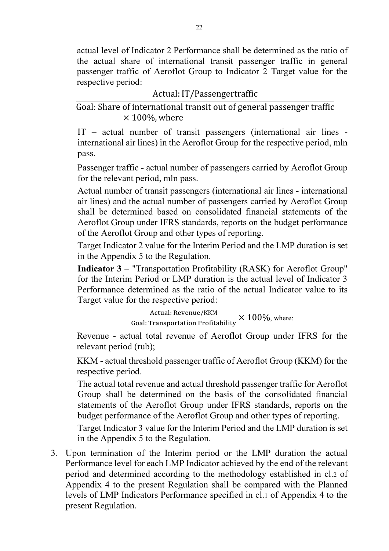actual level of Indicator 2 Performance shall be determined as the ratio of the actual share of international transit passenger traffic in general passenger traffic of Aeroflot Group to Indicator 2 Target value for the respective period:

|  | Actual: IT/Passengertraffic |  |
|--|-----------------------------|--|
|--|-----------------------------|--|

Goal: Share of international transit out of general passenger traffic  $\times$  100%, where

IТ – actual number of transit passengers (international air lines international air lines) in the Aeroflot Group for the respective period, mln pass.

Passenger traffic - actual number of passengers carried by Aeroflot Group for the relevant period, mln pass.

Actual number of transit passengers (international air lines - international air lines) and the actual number of passengers carried by Aeroflot Group shall be determined based on consolidated financial statements of the Aeroflot Group under IFRS standards, reports on the budget performance of the Aeroflot Group and other types of reporting.

Target Indicator 2 value for the Interim Period and the LMP duration is set in the Appendix 5 to the Regulation.

Indicator 3 – "Transportation Profitability (RASK) for Aeroflot Group" for the Interim Period or LMP duration is the actual level of Indicator 3 Performance determined as the ratio of the actual Indicator value to its Target value for the respective period:

Actual: Revenue/KKM<br>Goal: Transportation Profitability  $\times$  100%, where:

Revenue - actual total revenue of Aeroflot Group under IFRS for the relevant period (rub);

KKM - actual threshold passenger traffic of Aeroflot Group (KKM) for the respective period.

The actual total revenue and actual threshold passenger traffic for Aeroflot Group shall be determined on the basis of the consolidated financial statements of the Aeroflot Group under IFRS standards, reports on the budget performance of the Aeroflot Group and other types of reporting.

Target Indicator 3 value for the Interim Period and the LMP duration is set in the Appendix 5 to the Regulation.

3. Upon termination of the Interim period or the LMP duration the actual Performance level for each LMP Indicator achieved by the end of the relevant period and determined according to the methodology established in cl.2 of Appendix 4 to the present Regulation shall be compared with the Planned levels of LMP Indicators Performance specified in cl.1 of Appendix 4 to the present Regulation.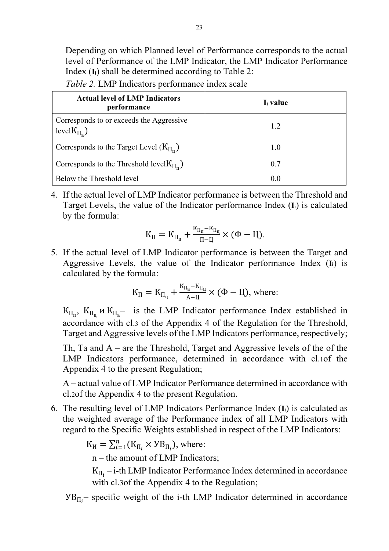Depending on which Planned level of Performance corresponds to the actual level of Performance of the LMP Indicator, the LMP Indicator Performance Index  $(I_i)$  shall be determined according to Table 2:

| <b>Actual level of LMP Indicators</b><br>performance            | I <sub>i</sub> value |
|-----------------------------------------------------------------|----------------------|
| Corresponds to or exceeds the Aggressive<br>level $K_{\Pi_2}$ ) | 1.2                  |
| Corresponds to the Target Level $(K_{\Pi_n})$                   | 1.0                  |
| Corresponds to the Threshold level $K_{\Pi_n}$ )                | 0.7                  |
| Below the Threshold level                                       | 0.0                  |

Table 2. LMP Indicators performance index scale

4. If the actual level of LMP Indicator performance is between the Threshold and Target Levels, the value of the Indicator performance Index (Ii) is calculated by the formula:

$$
K_{\Pi}=K_{\Pi_{\mathfrak{u}}}+\frac{\kappa_{\Pi_{\mathfrak{u}}}-\kappa_{\Pi_{\mathfrak{u}}}}{\Pi-\mathfrak{U}}\times(\Phi-\mathfrak{U}).
$$

5. If the actual level of LMP Indicator performance is between the Target and Aggressive Levels, the value of the Indicator performance Index (Ii) is calculated by the formula:

$$
K_{\Pi} = K_{\Pi_{\Pi}} + \frac{K_{\Pi_{a}} - K_{\Pi_{\Pi}}}{A - \Pi} \times (\Phi - \Pi), \text{ where:}
$$

 $K_{\Pi_{\Pi}}$ ,  $K_{\Pi_{\Pi}}$  *u*  $K_{\Pi_{\Pi}}$  is the LMP Indicator performance Index established in accordance with cl.3 of the Appendix 4 of the Regulation for the Threshold, Target and Aggressive levels of the LMP Indicators performance, respectively;

Th, Ta and  $A$  – are the Threshold, Target and Aggressive levels of the of the LMP Indicators performance, determined in accordance with cl.1of the Appendix 4 to the present Regulation;

A – actual value of LMP Indicator Performance determined in accordance with cl.2of the Appendix 4 to the present Regulation.

6. The resulting level of LMP Indicators Performance Index (Ii) is calculated as the weighted average of the Performance index of all LMP Indicators with regard to the Specific Weights established in respect of the LMP Indicators:

 $K_H = \sum_{i=1}^n (K_{\Pi_i} \times \text{YB}_{\Pi_i}),$  where:

n – the amount of LMP Indicators;

 $K_{\Pi_i}$  – i-th LMP Indicator Performance Index determined in accordance with cl.3of the Appendix 4 to the Regulation;

 $VB_{\Pi_i}$  specific weight of the i-th LMP Indicator determined in accordance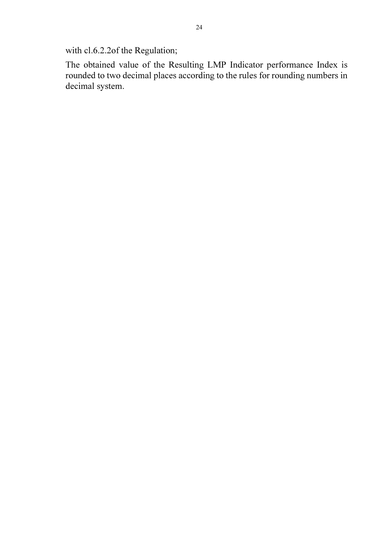with cl.6.2.2of the Regulation;

The obtained value of the Resulting LMP Indicator performance Index is rounded to two decimal places according to the rules for rounding numbers in decimal system.